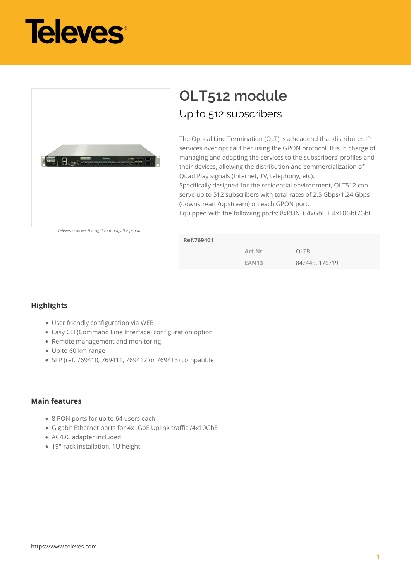



## **OLT512 module** Up to 512 subscribers

The Optical Line Termination (OLT) is a headend that distributes IP services over optical fiber using the GPON protocol. It is in charge of managing and adapting the services to the subscribers' profiles and their devices, allowing the distribution and commercialization of Quad Play signals (Internet, TV, telephony, etc).

Specifically designed for the residential environment, OLT512 can serve up to 512 subscribers with total rates of 2.5 Gbps/1.24 Gbps (downstream/upstream) on each GPON port.

Equipped with the following ports: 8xPON + 4xGbE + 4x10GbE/GbE.

| Televes reserves the right to modify the product |  |  |  |  |  |  |
|--------------------------------------------------|--|--|--|--|--|--|
|--------------------------------------------------|--|--|--|--|--|--|

| Ref.769401 |              |                   |
|------------|--------------|-------------------|
|            | Art.Nr       | OI T <sub>8</sub> |
|            | <b>EAN13</b> | 8424450176719     |

## **Highlights**

- User friendly configuration via WEB
- Easy CLI (Command Line Interface) configuration option
- Remote management and monitoring
- Up to 60 km range
- SFP (ref. 769410, 769411, 769412 or 769413) compatible

## **Main features**

- 8 PON ports for up to 64 users each
- Gigabit Ethernet ports for 4x1GbE Uplink traffic /4x10GbE
- AC/DC adapter included
- 19"-rack installation, 1U height